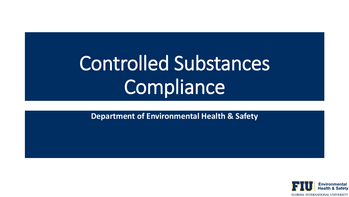# Controlled Substances Compliance

**Department of Environmental Health & Safety**

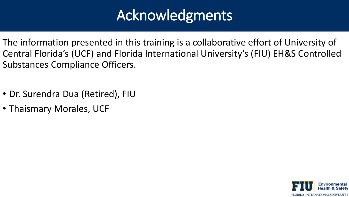# Acknowledgments

- The information presented in this training is a collaborative effort of University of Central Florida's (UCF) and Florida International University's (FIU) EH&S Controlled Substances Compliance Officers.
- Dr. Surendra Dua (Retired), FIU
- Thaismary Morales, UCF

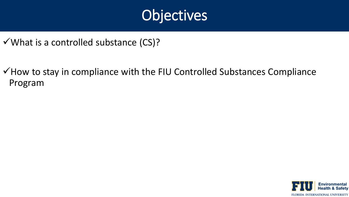### **Objectives**

- $\checkmark$  What is a controlled substance (CS)?
- ✓How to stay in compliance with the FIU Controlled Substances Compliance Program

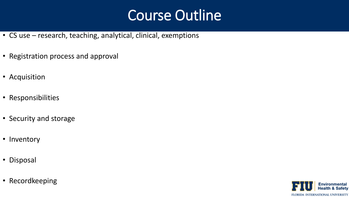### Course Outline

- CS use research, teaching, analytical, clinical, exemptions
- Registration process and approval
- Acquisition
- Responsibilities
- Security and storage
- Inventory
- Disposal
- Recordkeeping

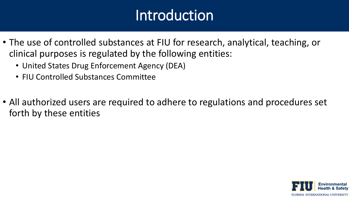### **Introduction**

- The use of controlled substances at FIU for research, analytical, teaching, or clinical purposes is regulated by the following entities:
	- United States Drug Enforcement Agency (DEA)
	- FIU Controlled Substances Committee
- All authorized users are required to adhere to regulations and procedures set forth by these entities

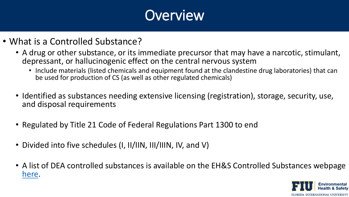- What is a Controlled Substance?
	- A drug or other substance, or its immediate precursor that may have a narcotic, stimulant, depressant, or hallucinogenic effect on the central nervous system
		- Include materials (listed chemicals and equipment found at the clandestine drug laboratories) that can be used for production of CS (as well as other regulated chemicals)
	- Identified as substances needing extensive licensing (registration), storage, security, use, and disposal requirements
	- Regulated by Title 21 Code of Federal Regulations Part 1300 to end
	- Divided into five schedules (I, II/IIN, III/IIIN, IV, and V)
	- A list of DEA controlled substances is available on the EH&S Controlled Substances webpage [here.](https://ehs.fiu.edu/safety-programs/controlled-substances/index.html)

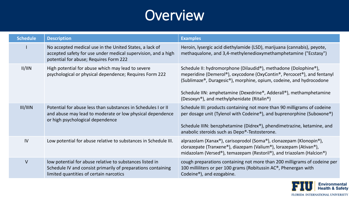| <b>Schedule</b> | <b>Description</b>                                                                                                                                                  | <b>Examples</b>                                                                                                                                                                                                                                                                                                                                                |
|-----------------|---------------------------------------------------------------------------------------------------------------------------------------------------------------------|----------------------------------------------------------------------------------------------------------------------------------------------------------------------------------------------------------------------------------------------------------------------------------------------------------------------------------------------------------------|
|                 | No accepted medical use in the United States, a lack of<br>accepted safety for use under medical supervision, and a high<br>potential for abuse; Requires Form 222  | Heroin, lysergic acid diethylamide (LSD), marijuana (cannabis), peyote,<br>methaqualone, and 3,4-methylenedioxymethamphetamine ("Ecstasy")                                                                                                                                                                                                                     |
| II/III          | High potential for abuse which may lead to severe<br>psychological or physical dependence; Requires Form 222                                                        | Schedule II: hydromorphone (Dilaudid®), methadone (Dolophine®),<br>meperidine (Demerol®), oxycodone (OxyContin®, Percocet®), and fentanyl<br>(Sublimaze®, Duragesic®), morphine, opium, codeine, and hydrocodone<br>Schedule IIN: amphetamine (Dexedrine®, Adderall®), methamphetamine<br>(Desoxyn <sup>®</sup> ), and methylphenidate (Ritalin <sup>®</sup> ) |
| III/IIIN        | Potential for abuse less than substances in Schedules I or II<br>and abuse may lead to moderate or low physical dependence<br>or high psychological dependence      | Schedule III: products containing not more than 90 milligrams of codeine<br>per dosage unit (Tylenol with Codeine®), and buprenorphine (Suboxone®)<br>Schedule IIIN: benzphetamine (Didrex®), phendimetrazine, ketamine, and<br>anabolic steroids such as Depo®-Testosterone.                                                                                  |
| IV              | Low potential for abuse relative to substances in Schedule III.                                                                                                     | alprazolam (Xanax®), carisoprodol (Soma®), clonazepam (Klonopin®),<br>clorazepate (Tranxene®), diazepam (Valium®), lorazepam (Ativan®),<br>midazolam (Versed®), temazepam (Restoril®), and triazolam (Halcion®)                                                                                                                                                |
| $\vee$          | low potential for abuse relative to substances listed in<br>Schedule IV and consist primarily of preparations containing<br>limited quantities of certain narcotics | cough preparations containing not more than 200 milligrams of codeine per<br>100 milliliters or per 100 grams (Robitussin AC <sup>®</sup> , Phenergan with<br>Codeine <sup>®</sup> ), and ezogabine.                                                                                                                                                           |

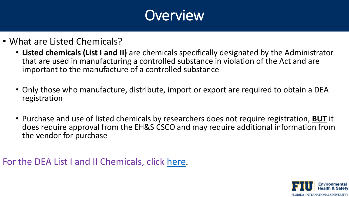- What are Listed Chemicals?
	- **Listed chemicals (List I and II)** are chemicals specifically designated by the Administrator that are used in manufacturing a controlled substance in violation of the Act and are important to the manufacture of a controlled substance
	- Only those who manufacture, distribute, import or export are required to obtain a DEA registration
	- Purchase and use of listed chemicals by researchers does not require registration, **BUT** it does require approval from the EH&S CSCO and may require additional information from the vendor for purchase

For the DEA List I and II Chemicals, click [here](https://www.deadiversion.usdoj.gov/21cfr/cfr/1310/1310_02.htm).

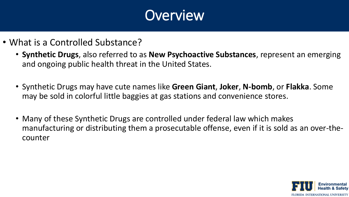- What is a Controlled Substance?
	- **Synthetic Drugs**, also referred to as **New Psychoactive Substances**, represent an emerging and ongoing public health threat in the United States.
	- Synthetic Drugs may have cute names like **Green Giant**, **Joker**, **N-bomb**, or **Flakka**. Some may be sold in colorful little baggies at gas stations and convenience stores.
	- Many of these Synthetic Drugs are controlled under federal law which makes manufacturing or distributing them a prosecutable offense, even if it is sold as an over-thecounter

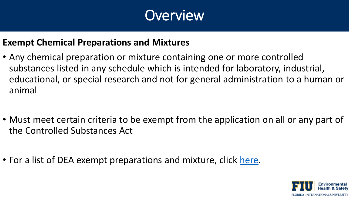

#### **Exempt Chemical Preparations and Mixtures**

- Any chemical preparation or mixture containing one or more controlled substances listed in any schedule which is intended for laboratory, industrial, educational, or special research and not for general administration to a human or animal
- Must meet certain criteria to be exempt from the application on all or any part of the Controlled Substances Act
- For a list of DEA exempt preparations and mixture, click [here](https://www.deadiversion.usdoj.gov/schedules/exempt/exempt_chemlist.pdf#search=exempt%20chemicalhere).

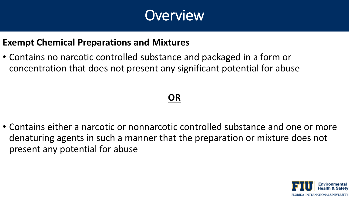

#### **Exempt Chemical Preparations and Mixtures**

• Contains no narcotic controlled substance and packaged in a form or concentration that does not present any significant potential for abuse

#### **OR**

• Contains either a narcotic or nonnarcotic controlled substance and one or more denaturing agents in such a manner that the preparation or mixture does not present any potential for abuse

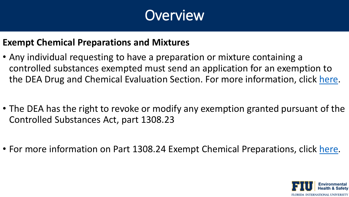

#### **Exempt Chemical Preparations and Mixtures**

- Any individual requesting to have a preparation or mixture containing a controlled substances exempted must send an application for an exemption to the DEA Drug and Chemical Evaluation Section. For more information, click [here](https://www.deadiversion.usdoj.gov/21cfr/cfr/1308/1308_23.htm).
- The DEA has the right to revoke or modify any exemption granted pursuant of the Controlled Substances Act, part 1308.23
- For more information on Part 1308.24 Exempt Chemical Preparations, click [here](https://www.deadiversion.usdoj.gov/21cfr/cfr/1308/1308_24.htm).

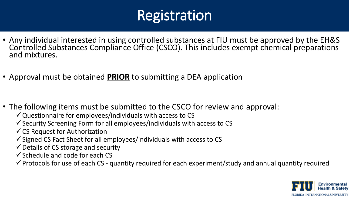- Any individual interested in using controlled substances at FIU must be approved by the EH&S Controlled Substances Compliance Office (CSCO). This includes exempt chemical preparations and mixtures.
- Approval must be obtained **PRIOR** to submitting a DEA application

- The following items must be submitted to the CSCO for review and approval:
	- $\checkmark$  Questionnaire for employees/individuals with access to CS
	- $\checkmark$  Security Screening Form for all employees/individuals with access to CS
	- $\checkmark$  CS Request for Authorization
	- $\checkmark$  Signed CS Fact Sheet for all employees/individuals with access to CS
	- $\checkmark$  Details of CS storage and security
	- $\checkmark$  Schedule and code for each CS

 $\checkmark$  Protocols for use of each CS - quantity required for each experiment/study and annual quantity required

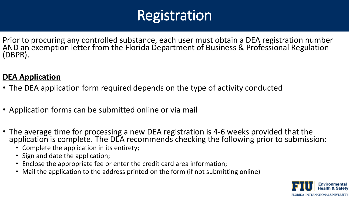Prior to procuring any controlled substance, each user must obtain a DEA registration number AND an exemption letter from the Florida Department of Business & Professional Regulation (DBPR).

#### **DEA Application**

- The DEA application form required depends on the type of activity conducted
- Application forms can be submitted online or via mail
- The average time for processing a new DEA registration is 4-6 weeks provided that the application is complete. The DEA recommends checking the following prior to submission:
	- Complete the application in its entirety;
	- Sign and date the application;
	- Enclose the appropriate fee or enter the credit card area information;
	- Mail the application to the address printed on the form (if not submitting online)

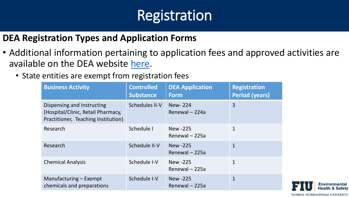#### **DEA Registration Types and Application Forms**

- Additional information pertaining to application fees and approved activities are available on the DEA website [here.](https://www.deadiversion.usdoj.gov/21cfr/cfr/1301/1301_13.htm#feeCategories)
	- State entities are exempt from registration fees

| <b>Business Activity</b>                                                                                | <b>Controlled</b><br><b>Substance</b> | <b>DEA Application</b><br><b>Form</b> | <b>Registration</b><br><b>Period (years)</b> |
|---------------------------------------------------------------------------------------------------------|---------------------------------------|---------------------------------------|----------------------------------------------|
| Dispensing and Instructing<br>(Hospital/Clinic, Retail Pharmacy,<br>Practitioner, Teaching Institution) | Schedules II-V                        | New-224<br>Renewal - 224a             | 3                                            |
| Research                                                                                                | Schedule I                            | <b>New -225</b><br>Renewal - 225a     | $\mathbf{1}$                                 |
| Research                                                                                                | Schedule II-V                         | <b>New -225</b><br>Renewal - 225a     | $\mathbf{1}$                                 |
| <b>Chemical Analysis</b>                                                                                | Schedule I-V                          | New -225<br>Renewal - 225a            | $\mathbf{1}$                                 |
| Manufacturing – Exempt<br>chemicals and preparations                                                    | Schedule I-V                          | <b>New -225</b><br>Renewal - 225a     | $\mathbf{1}$                                 |

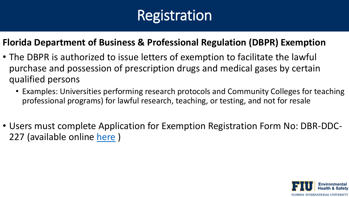#### **Florida Department of Business & Professional Regulation (DBPR) Exemption**

- The DBPR is authorized to issue letters of exemption to facilitate the lawful purchase and possession of prescription drugs and medical gases by certain qualified persons
	- Examples: Universities performing research protocols and Community Colleges for teaching professional programs) for lawful research, teaching, or testing, and not for resale
- Users must complete Application for Exemption Registration Form No: DBR-DDC-227 (available online [here](http://www.myfloridalicense.com/DBPR/drugs-devices-and-cosmetics/exemption-letter-research-teaching-testing/) )

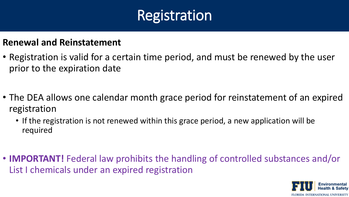#### **Renewal and Reinstatement**

- Registration is valid for a certain time period, and must be renewed by the user prior to the expiration date
- The DEA allows one calendar month grace period for reinstatement of an expired registration
	- If the registration is not renewed within this grace period, a new application will be required
- **IMPORTANT!** Federal law prohibits the handling of controlled substances and/or List I chemicals under an expired registration

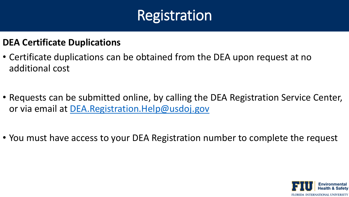#### **DEA Certificate Duplications**

- Certificate duplications can be obtained from the DEA upon request at no additional cost
- Requests can be submitted online, by calling the DEA Registration Service Center, or via email at [DEA.Registration.Help@usdoj.gov](mailto:DEA.Registration.Help@usdoj.gov)
- You must have access to your DEA Registration number to complete the request

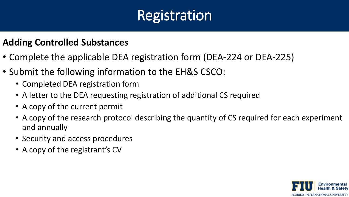#### **Adding Controlled Substances**

- Complete the applicable DEA registration form (DEA-224 or DEA-225)
- Submit the following information to the EH&S CSCO:
	- Completed DEA registration form
	- A letter to the DEA requesting registration of additional CS required
	- A copy of the current permit
	- A copy of the research protocol describing the quantity of CS required for each experiment and annually
	- Security and access procedures
	- A copy of the registrant's CV

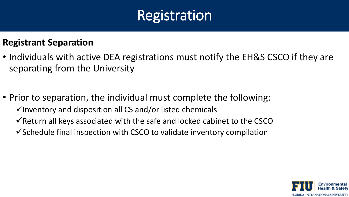#### **Registrant Separation**

- Individuals with active DEA registrations must notify the EH&S CSCO if they are separating from the University
- Prior to separation, the individual must complete the following:  $\checkmark$  Inventory and disposition all CS and/or listed chemicals  $\checkmark$  Return all keys associated with the safe and locked cabinet to the CSCO  $\checkmark$  Schedule final inspection with CSCO to validate inventory compilation

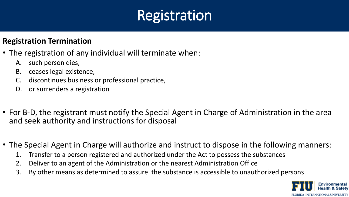#### **Registration Termination**

- The registration of any individual will terminate when:
	- A. such person dies,
	- B. ceases legal existence,
	- C. discontinues business or professional practice,
	- D. or surrenders a registration
- For B-D, the registrant must notify the Special Agent in Charge of Administration in the area and seek authority and instructions for disposal
- The Special Agent in Charge will authorize and instruct to dispose in the following manners:
	- 1. Transfer to a person registered and authorized under the Act to possess the substances
	- 2. Deliver to an agent of the Administration or the nearest Administration Office
	- 3. By other means as determined to assure the substance is accessible to unauthorized persons

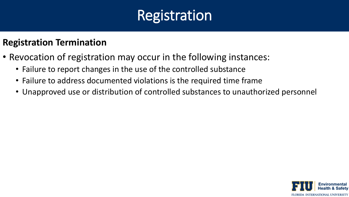#### **Registration Termination**

- Revocation of registration may occur in the following instances:
	- Failure to report changes in the use of the controlled substance
	- Failure to address documented violations is the required time frame
	- Unapproved use or distribution of controlled substances to unauthorized personnel

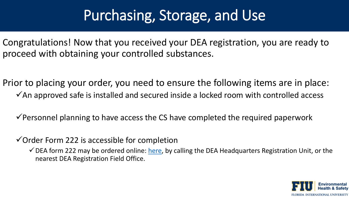Congratulations! Now that you received your DEA registration, you are ready to proceed with obtaining your controlled substances.

Prior to placing your order, you need to ensure the following items are in place:  $\checkmark$ An approved safe is installed and secured inside a locked room with controlled access

 $\checkmark$  Personnel planning to have access the CS have completed the required paperwork

 $\checkmark$  Order Form 222 is accessible for completion

 $\checkmark$  DEA form 222 may be ordered online: [here,](https://apps.deadiversion.usdoj.gov/webforms/orderFormsRequest.jsp) by calling the DEA Headquarters Registration Unit, or the nearest DEA Registration Field Office.

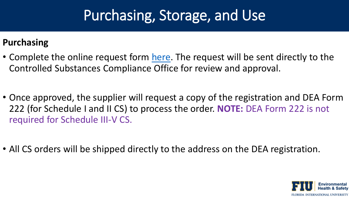#### **Purchasing**

- Complete the online request form [here](https://webforms.fiu.edu/view.php?id=3052955). The request will be sent directly to the Controlled Substances Compliance Office for review and approval.
- Once approved, the supplier will request a copy of the registration and DEA Form 222 (for Schedule I and II CS) to process the order. **NOTE:** DEA Form 222 is not required for Schedule III-V CS.
- All CS orders will be shipped directly to the address on the DEA registration.

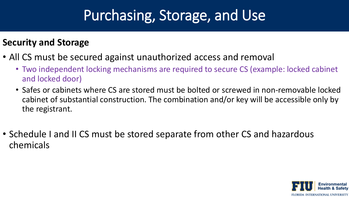#### **Security and Storage**

- All CS must be secured against unauthorized access and removal
	- Two independent locking mechanisms are required to secure CS (example: locked cabinet and locked door)
	- Safes or cabinets where CS are stored must be bolted or screwed in non-removable locked cabinet of substantial construction. The combination and/or key will be accessible only by the registrant.
- Schedule I and II CS must be stored separate from other CS and hazardous chemicals

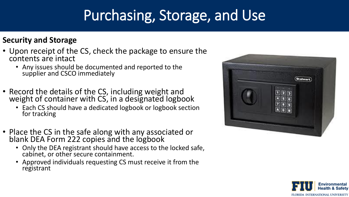#### **Security and Storage**

- Upon receipt of the CS, check the package to ensure the contents are intact
	- Any issues should be documented and reported to the supplier and CSCO immediately
- Record the details of the CS, including weight and weight of container with CS, in a designated logbook
	- Each CS should have a dedicated logbook or logbook section for tracking
- Place the CS in the safe along with any associated or blank DEA Form 222 copies and the logbook
	- Only the DEA registrant should have access to the locked safe, cabinet, or other secure containment.
	- Approved individuals requesting CS must receive it from the registrant



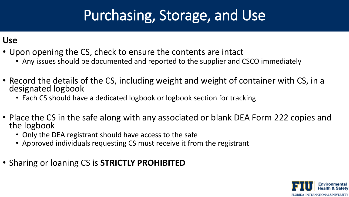#### **Use**

- Upon opening the CS, check to ensure the contents are intact
	- Any issues should be documented and reported to the supplier and CSCO immediately
- Record the details of the CS, including weight and weight of container with CS, in a designated logbook
	- Each CS should have a dedicated logbook or logbook section for tracking
- Place the CS in the safe along with any associated or blank DEA Form 222 copies and the logbook
	- Only the DEA registrant should have access to the safe
	- Approved individuals requesting CS must receive it from the registrant
- Sharing or loaning CS is **STRICTLY PROHIBITED**

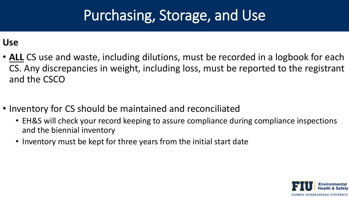**Use**

- **ALL** CS use and waste, including dilutions, must be recorded in a logbook for each CS. Any discrepancies in weight, including loss, must be reported to the registrant and the CSCO
- Inventory for CS should be maintained and reconciliated
	- EH&S will check your record keeping to assure compliance during compliance inspections and the biennial inventory
	- Inventory must be kept for three years from the initial start date

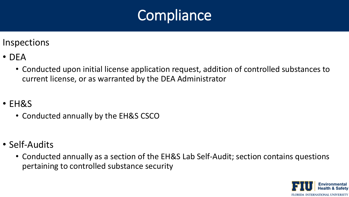

Inspections

- DEA
	- Conducted upon initial license application request, addition of controlled substances to current license, or as warranted by the DEA Administrator
- EH&S
	- Conducted annually by the EH&S CSCO
- Self-Audits
	- Conducted annually as a section of the EH&S Lab Self-Audit; section contains questions pertaining to controlled substance security

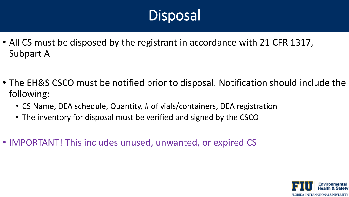- All CS must be disposed by the registrant in accordance with 21 CFR 1317, Subpart A
- The EH&S CSCO must be notified prior to disposal. Notification should include the following:
	- CS Name, DEA schedule, Quantity, # of vials/containers, DEA registration
	- The inventory for disposal must be verified and signed by the CSCO
- IMPORTANT! This includes unused, unwanted, or expired CS

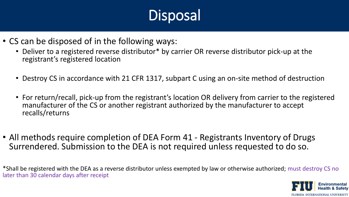- CS can be disposed of in the following ways:
	- Deliver to a registered reverse distributor\* by carrier OR reverse distributor pick-up at the registrant's registered location
	- Destroy CS in accordance with 21 CFR 1317, subpart C using an on-site method of destruction
	- For return/recall, pick-up from the registrant's location OR delivery from carrier to the registered manufacturer of the CS or another registrant authorized by the manufacturer to accept recalls/returns
- All methods require completion of DEA Form 41 Registrants Inventory of Drugs Surrendered. Submission to the DEA is not required unless requested to do so.

\*Shall be registered with the DEA as a reverse distributor unless exempted by law or otherwise authorized; must destroy CS no later than 30 calendar days after receipt

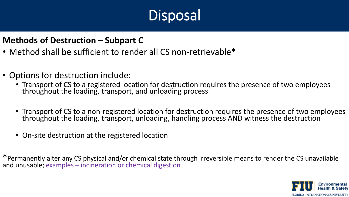#### **Methods of Destruction – Subpart C**

- Method shall be sufficient to render all CS non-retrievable\*
- Options for destruction include:
	- Transport of CS to a registered location for destruction requires the presence of two employees throughout the loading, transport, and unloading process
	- Transport of CS to a non-registered location for destruction requires the presence of two employees throughout the loading, transport, unloading, handling process AND witness the destruction
	- On-site destruction at the registered location

\*Permanently alter any CS physical and/or chemical state through irreversible means to render the CS unavailable and unusable; examples – incineration or chemical digestion

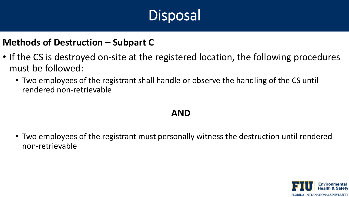#### **Methods of Destruction – Subpart C**

- If the CS is destroyed on-site at the registered location, the following procedures must be followed:
	- Two employees of the registrant shall handle or observe the handling of the CS until rendered non-retrievable

#### **AND**

• Two employees of the registrant must personally witness the destruction until rendered non-retrievable

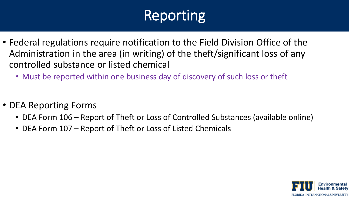# **Reporting**

- Federal regulations require notification to the Field Division Office of the Administration in the area (in writing) of the theft/significant loss of any controlled substance or listed chemical
	- Must be reported within one business day of discovery of such loss or theft
- DEA Reporting Forms
	- DEA Form 106 Report of Theft or Loss of Controlled Substances (available online)
	- DEA Form 107 Report of Theft or Loss of Listed Chemicals

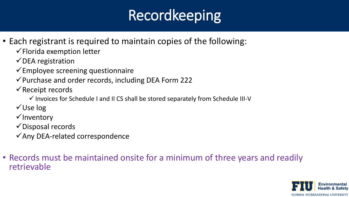# Recordkeeping

- Each registrant is required to maintain copies of the following:
	- $\checkmark$  Florida exemption letter
	- $\checkmark$  DEA registration
	- $\checkmark$  Employee screening questionnaire
	- ✓Purchase and order records, including DEA Form 222
	- $\checkmark$  Receipt records
		- ✓ Invoices for Schedule I and II CS shall be stored separately from Schedule III-V
	- ✓Use log
	- ✓Inventory
	- $\checkmark$  Disposal records
	- ✓Any DEA-related correspondence
- Records must be maintained onsite for a minimum of three years and readily retrievable

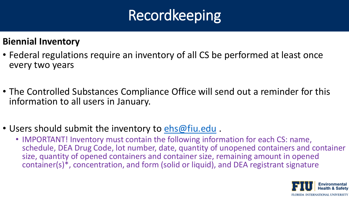# Recordkeeping

#### **Biennial Inventory**

- Federal regulations require an inventory of all CS be performed at least once every two years
- The Controlled Substances Compliance Office will send out a reminder for this information to all users in January.
- Users should submit the inventory to [ehs@fiu.edu](mailto:ehs@fiu.edu) .
	- IMPORTANT! Inventory must contain the following information for each CS: name, schedule, DEA Drug Code, lot number, date, quantity of unopened containers and container size, quantity of opened containers and container size, remaining amount in opened container(s)\*, concentration, and form (solid or liquid), and DEA registrant signature

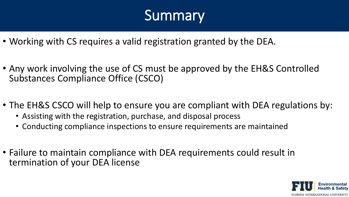# Summary

- Working with CS requires a valid registration granted by the DEA.
- Any work involving the use of CS must be approved by the EH&S Controlled Substances Compliance Office (CSCO)
- The EH&S CSCO will help to ensure you are compliant with DEA regulations by:
	- Assisting with the registration, purchase, and disposal process
	- Conducting compliance inspections to ensure requirements are maintained
- Failure to maintain compliance with DEA requirements could result in termination of your DEA license

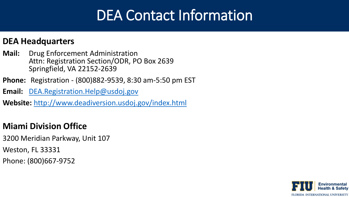### DEA Contact Information

#### **DEA Headquarters**

- **Mail:** Drug Enforcement Administration Attn: Registration Section/ODR, PO Box 2639 Springfield, VA 22152-2639
- **Phone:** Registration (800)882-9539, 8:30 am-5:50 pm EST
- **Email:** [DEA.Registration.Help@usdoj.gov](mailto:DEA.Registration.Help@usdoj.gov)

**Website:** <http://www.deadiversion.usdoj.gov/index.html>

#### **Miami Division Office**

- 3200 Meridian Parkway, Unit 107
- Weston, FL 33331
- Phone: (800)667-9752